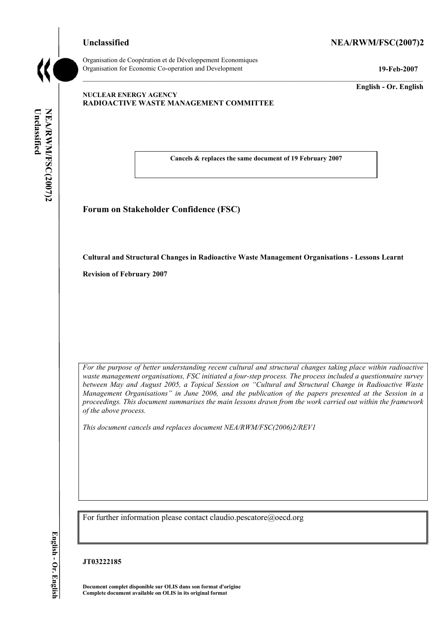### Unclassified NEA/RWM/FSC(2007)2



Organisation de CoopÈration et de DÈveloppement Economiques Organisation for Economic Co-operation and Development **19-Feb-2007** 

**English - Or. English** 

### **NUCLEAR ENERGY AGENCY RADIOACTIVE WASTE MANAGEMENT COMMITTEE**

Unclassified **Unclassified**  NEA/RWM/FSC(2007)2 **NEA/RWM/FSC(2007)2 English - Or. English** 

**Cancels & replaces the same document of 19 February 2007** 

**Forum on Stakeholder Confidence (FSC)** 

**Cultural and Structural Changes in Radioactive Waste Management Organisations - Lessons Learnt** 

**Revision of February 2007** 

*For the purpose of better understanding recent cultural and structural changes taking place within radioactive waste management organisations, FSC initiated a four-step process. The process included a questionnaire survey*  between May and August 2005, a Topical Session on "Cultural and Structural Change in Radioactive Waste *Management Organisations*" in June 2006, and the publication of the papers presented at the Session in a *proceedings. This document summarises the main lessons drawn from the work carried out within the framework of the above process.* 

*This document cancels and replaces document NEA/RWM/FSC(2006)2/REV1* 

For further information please contact claudio.pescatore@oecd.org

### **JT03222185**

**Document complet disponible sur OLIS dans son format d'origine Complete document available on OLIS in its original format**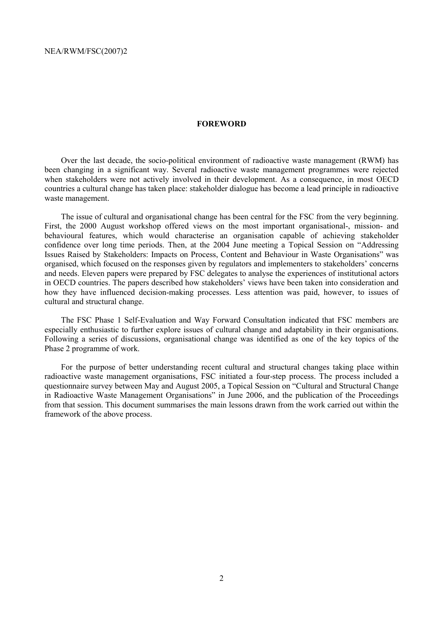#### **FOREWORD**

Over the last decade, the socio-political environment of radioactive waste management (RWM) has been changing in a significant way. Several radioactive waste management programmes were rejected when stakeholders were not actively involved in their development. As a consequence, in most OECD countries a cultural change has taken place: stakeholder dialogue has become a lead principle in radioactive waste management.

The issue of cultural and organisational change has been central for the FSC from the very beginning. First, the 2000 August workshop offered views on the most important organisational-, mission- and behavioural features, which would characterise an organisation capable of achieving stakeholder confidence over long time periods. Then, at the 2004 June meeting a Topical Session on "Addressing" Issues Raised by Stakeholders: Impacts on Process, Content and Behaviour in Waste Organisationsî was organised, which focused on the responses given by regulators and implementers to stakeholders' concerns and needs. Eleven papers were prepared by FSC delegates to analyse the experiences of institutional actors in OECD countries. The papers described how stakeholders' views have been taken into consideration and how they have influenced decision-making processes. Less attention was paid, however, to issues of cultural and structural change.

The FSC Phase 1 Self-Evaluation and Way Forward Consultation indicated that FSC members are especially enthusiastic to further explore issues of cultural change and adaptability in their organisations. Following a series of discussions, organisational change was identified as one of the key topics of the Phase 2 programme of work.

For the purpose of better understanding recent cultural and structural changes taking place within radioactive waste management organisations, FSC initiated a four-step process. The process included a questionnaire survey between May and August 2005, a Topical Session on "Cultural and Structural Change in Radioactive Waste Management Organisations" in June 2006, and the publication of the Proceedings from that session. This document summarises the main lessons drawn from the work carried out within the framework of the above process.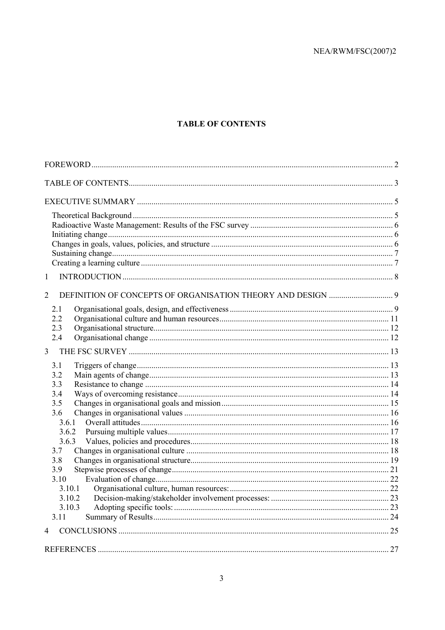# **TABLE OF CONTENTS**

| $\mathbf{1}$   |  |
|----------------|--|
| $\overline{2}$ |  |
| 2.1            |  |
| 2.2            |  |
| 2.3            |  |
| 2.4            |  |
| 3              |  |
| 3.1            |  |
| 3.2            |  |
| 3.3            |  |
| 3.4<br>3.5     |  |
| 3.6            |  |
| 3.6.1          |  |
| 3.6.2          |  |
| 3.6.3          |  |
| 3.7            |  |
| 3.8<br>3.9     |  |
| 3.10           |  |
| 3.10.1         |  |
| 3.10.2         |  |
| 3.10.3         |  |
| 3.11           |  |
| 4              |  |
|                |  |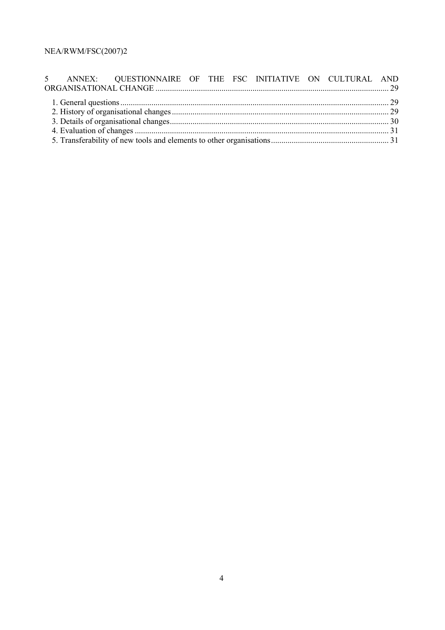|  | 5 ANNEX: QUESTIONNAIRE OF THE FSC INITIATIVE ON CULTURAL AND |  |  |  |  |  |  |  |  |
|--|--------------------------------------------------------------|--|--|--|--|--|--|--|--|
|  |                                                              |  |  |  |  |  |  |  |  |
|  |                                                              |  |  |  |  |  |  |  |  |
|  |                                                              |  |  |  |  |  |  |  |  |
|  |                                                              |  |  |  |  |  |  |  |  |
|  |                                                              |  |  |  |  |  |  |  |  |
|  |                                                              |  |  |  |  |  |  |  |  |
|  |                                                              |  |  |  |  |  |  |  |  |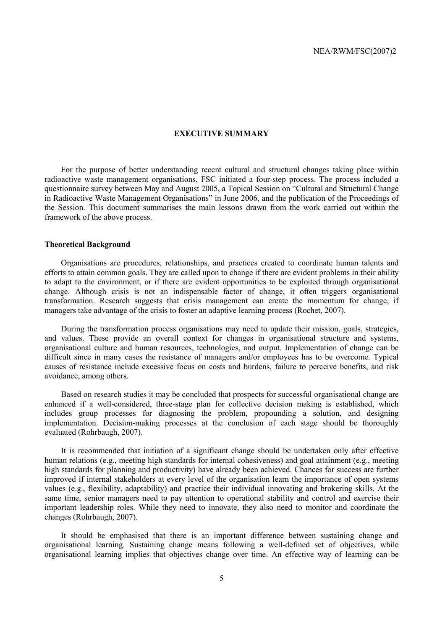#### **EXECUTIVE SUMMARY**

For the purpose of better understanding recent cultural and structural changes taking place within radioactive waste management organisations, FSC initiated a four-step process. The process included a questionnaire survey between May and August 2005, a Topical Session on "Cultural and Structural Change in Radioactive Waste Management Organisations" in June 2006, and the publication of the Proceedings of the Session. This document summarises the main lessons drawn from the work carried out within the framework of the above process.

#### **Theoretical Background**

Organisations are procedures, relationships, and practices created to coordinate human talents and efforts to attain common goals. They are called upon to change if there are evident problems in their ability to adapt to the environment, or if there are evident opportunities to be exploited through organisational change. Although crisis is not an indispensable factor of change, it often triggers organisational transformation. Research suggests that crisis management can create the momentum for change, if managers take advantage of the crisis to foster an adaptive learning process (Rochet, 2007).

During the transformation process organisations may need to update their mission, goals, strategies, and values. These provide an overall context for changes in organisational structure and systems, organisational culture and human resources, technologies, and output. Implementation of change can be difficult since in many cases the resistance of managers and/or employees has to be overcome. Typical causes of resistance include excessive focus on costs and burdens, failure to perceive benefits, and risk avoidance, among others.

Based on research studies it may be concluded that prospects for successful organisational change are enhanced if a well-considered, three-stage plan for collective decision making is established, which includes group processes for diagnosing the problem, propounding a solution, and designing implementation. Decision-making processes at the conclusion of each stage should be thoroughly evaluated (Rohrbaugh, 2007).

It is recommended that initiation of a significant change should be undertaken only after effective human relations (e.g., meeting high standards for internal cohesiveness) and goal attainment (e.g., meeting high standards for planning and productivity) have already been achieved. Chances for success are further improved if internal stakeholders at every level of the organisation learn the importance of open systems values (e.g., flexibility, adaptability) and practice their individual innovating and brokering skills. At the same time, senior managers need to pay attention to operational stability and control and exercise their important leadership roles. While they need to innovate, they also need to monitor and coordinate the changes (Rohrbaugh, 2007).

It should be emphasised that there is an important difference between sustaining change and organisational learning. Sustaining change means following a well-defined set of objectives, while organisational learning implies that objectives change over time. An effective way of learning can be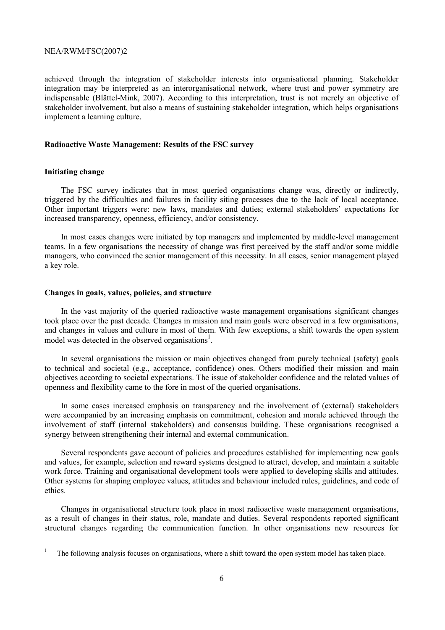achieved through the integration of stakeholder interests into organisational planning. Stakeholder integration may be interpreted as an interorganisational network, where trust and power symmetry are indispensable (Blättel-Mink, 2007). According to this interpretation, trust is not merely an objective of stakeholder involvement, but also a means of sustaining stakeholder integration, which helps organisations implement a learning culture.

#### **Radioactive Waste Management: Results of the FSC survey**

### **Initiating change**

The FSC survey indicates that in most queried organisations change was, directly or indirectly, triggered by the difficulties and failures in facility siting processes due to the lack of local acceptance. Other important triggers were: new laws, mandates and duties; external stakeholders' expectations for increased transparency, openness, efficiency, and/or consistency.

In most cases changes were initiated by top managers and implemented by middle-level management teams. In a few organisations the necessity of change was first perceived by the staff and/or some middle managers, who convinced the senior management of this necessity. In all cases, senior management played a key role.

#### **Changes in goals, values, policies, and structure**

In the vast majority of the queried radioactive waste management organisations significant changes took place over the past decade. Changes in mission and main goals were observed in a few organisations, and changes in values and culture in most of them. With few exceptions, a shift towards the open system model was detected in the observed organisations<sup>1</sup>.

In several organisations the mission or main objectives changed from purely technical (safety) goals to technical and societal (e.g., acceptance, confidence) ones. Others modified their mission and main objectives according to societal expectations. The issue of stakeholder confidence and the related values of openness and flexibility came to the fore in most of the queried organisations.

In some cases increased emphasis on transparency and the involvement of (external) stakeholders were accompanied by an increasing emphasis on commitment, cohesion and morale achieved through the involvement of staff (internal stakeholders) and consensus building. These organisations recognised a synergy between strengthening their internal and external communication.

Several respondents gave account of policies and procedures established for implementing new goals and values, for example, selection and reward systems designed to attract, develop, and maintain a suitable work force. Training and organisational development tools were applied to developing skills and attitudes. Other systems for shaping employee values, attitudes and behaviour included rules, guidelines, and code of ethics.

Changes in organisational structure took place in most radioactive waste management organisations, as a result of changes in their status, role, mandate and duties. Several respondents reported significant structural changes regarding the communication function. In other organisations new resources for

<sup>1</sup> The following analysis focuses on organisations, where a shift toward the open system model has taken place.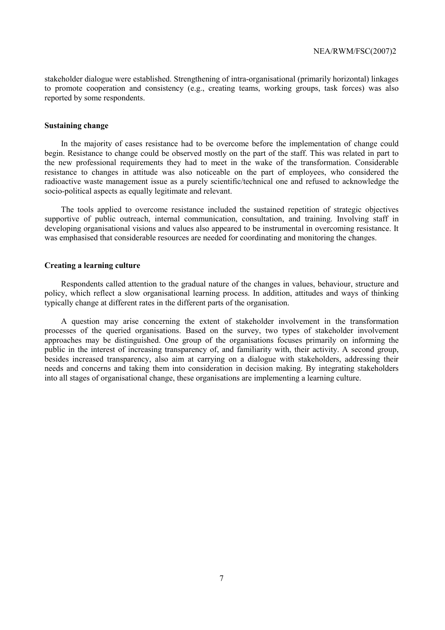stakeholder dialogue were established. Strengthening of intra-organisational (primarily horizontal) linkages to promote cooperation and consistency (e.g., creating teams, working groups, task forces) was also reported by some respondents.

### **Sustaining change**

In the majority of cases resistance had to be overcome before the implementation of change could begin. Resistance to change could be observed mostly on the part of the staff. This was related in part to the new professional requirements they had to meet in the wake of the transformation. Considerable resistance to changes in attitude was also noticeable on the part of employees, who considered the radioactive waste management issue as a purely scientific/technical one and refused to acknowledge the socio-political aspects as equally legitimate and relevant.

The tools applied to overcome resistance included the sustained repetition of strategic objectives supportive of public outreach, internal communication, consultation, and training. Involving staff in developing organisational visions and values also appeared to be instrumental in overcoming resistance. It was emphasised that considerable resources are needed for coordinating and monitoring the changes.

### **Creating a learning culture**

Respondents called attention to the gradual nature of the changes in values, behaviour, structure and policy, which reflect a slow organisational learning process. In addition, attitudes and ways of thinking typically change at different rates in the different parts of the organisation.

A question may arise concerning the extent of stakeholder involvement in the transformation processes of the queried organisations. Based on the survey, two types of stakeholder involvement approaches may be distinguished. One group of the organisations focuses primarily on informing the public in the interest of increasing transparency of, and familiarity with, their activity. A second group, besides increased transparency, also aim at carrying on a dialogue with stakeholders, addressing their needs and concerns and taking them into consideration in decision making. By integrating stakeholders into all stages of organisational change, these organisations are implementing a learning culture.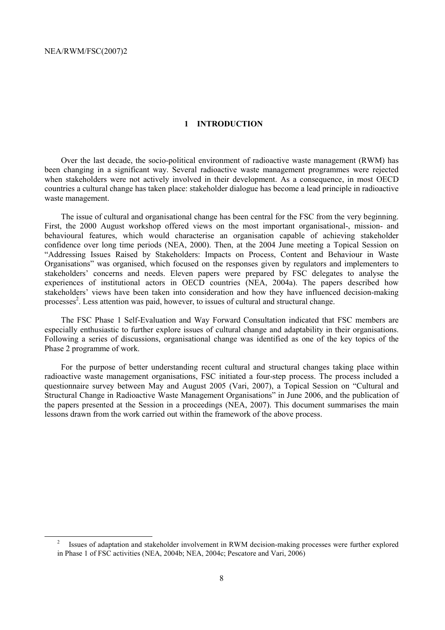### **1 INTRODUCTION**

Over the last decade, the socio-political environment of radioactive waste management (RWM) has been changing in a significant way. Several radioactive waste management programmes were rejected when stakeholders were not actively involved in their development. As a consequence, in most OECD countries a cultural change has taken place: stakeholder dialogue has become a lead principle in radioactive waste management.

The issue of cultural and organisational change has been central for the FSC from the very beginning. First, the 2000 August workshop offered views on the most important organisational-, mission- and behavioural features, which would characterise an organisation capable of achieving stakeholder confidence over long time periods (NEA, 2000). Then, at the 2004 June meeting a Topical Session on ìAddressing Issues Raised by Stakeholders: Impacts on Process, Content and Behaviour in Waste Organisations" was organised, which focused on the responses given by regulators and implementers to stakeholders' concerns and needs. Eleven papers were prepared by FSC delegates to analyse the experiences of institutional actors in OECD countries (NEA, 2004a). The papers described how stakeholders' views have been taken into consideration and how they have influenced decision-making processes<sup>2</sup>. Less attention was paid, however, to issues of cultural and structural change.

The FSC Phase 1 Self-Evaluation and Way Forward Consultation indicated that FSC members are especially enthusiastic to further explore issues of cultural change and adaptability in their organisations. Following a series of discussions, organisational change was identified as one of the key topics of the Phase 2 programme of work.

For the purpose of better understanding recent cultural and structural changes taking place within radioactive waste management organisations, FSC initiated a four-step process. The process included a questionnaire survey between May and August 2005 (Vari, 2007), a Topical Session on "Cultural and Structural Change in Radioactive Waste Management Organisations" in June 2006, and the publication of the papers presented at the Session in a proceedings (NEA, 2007). This document summarises the main lessons drawn from the work carried out within the framework of the above process.

 $\frac{1}{2}$  Issues of adaptation and stakeholder involvement in RWM decision-making processes were further explored in Phase 1 of FSC activities (NEA, 2004b; NEA, 2004c; Pescatore and Vari, 2006)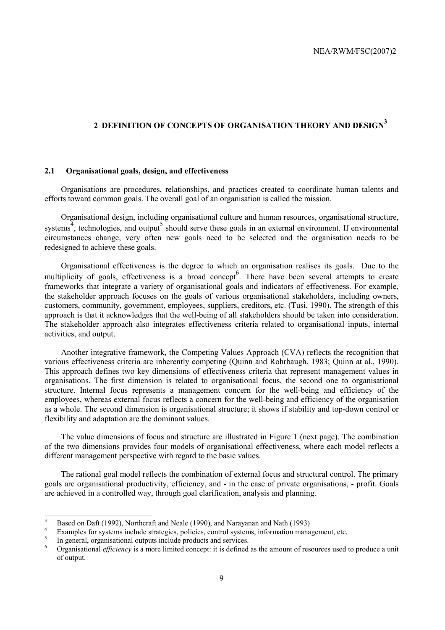# **2 DEFINITION OF CONCEPTS OF ORGANISATION THEORY AND DESIGN3**

### **2.1 Organisational goals, design, and effectiveness**

Organisations are procedures, relationships, and practices created to coordinate human talents and efforts toward common goals. The overall goal of an organisation is called the mission.

Organisational design, including organisational culture and human resources, organisational structure, systems<sup> $\frac{3}{4}$ </sup>, technologies, and output<sup>5</sup> should serve these goals in an external environment. If environmental circumstances change, very often new goals need to be selected and the organisation needs to be redesigned to achieve these goals.

Organisational effectiveness is the degree to which an organisation realises its goals. Due to the multiplicity of goals, effectiveness is a broad concept<sup>6</sup>. There have been several attempts to create frameworks that integrate a variety of organisational goals and indicators of effectiveness. For example, the stakeholder approach focuses on the goals of various organisational stakeholders, including owners, customers, community, government, employees, suppliers, creditors, etc. (Tusi, 1990). The strength of this approach is that it acknowledges that the well-being of all stakeholders should be taken into consideration. The stakeholder approach also integrates effectiveness criteria related to organisational inputs, internal activities, and output.

Another integrative framework, the Competing Values Approach (CVA) reflects the recognition that various effectiveness criteria are inherently competing (Quinn and Rohrbaugh, 1983; Quinn at al., 1990). This approach defines two key dimensions of effectiveness criteria that represent management values in organisations. The first dimension is related to organisational focus, the second one to organisational structure. Internal focus represents a management concern for the well-being and efficiency of the employees, whereas external focus reflects a concern for the well-being and efficiency of the organisation as a whole. The second dimension is organisational structure; it shows if stability and top-down control or flexibility and adaptation are the dominant values.

The value dimensions of focus and structure are illustrated in Figure 1 (next page). The combination of the two dimensions provides four models of organisational effectiveness, where each model reflects a different management perspective with regard to the basic values.

The rational goal model reflects the combination of external focus and structural control. The primary goals are organisational productivity, efficiency, and - in the case of private organisations, - profit. Goals are achieved in a controlled way, through goal clarification, analysis and planning.

 3 Based on Daft (1992), Northcraft and Neale (1990), and Narayanan and Nath (1993)

<sup>4</sup> Examples for systems include strategies, policies, control systems, information management, etc.

<sup>5</sup> In general, organisational outputs include products and services.

<sup>6</sup> Organisational *efficiency* is a more limited concept: it is defined as the amount of resources used to produce a unit of output.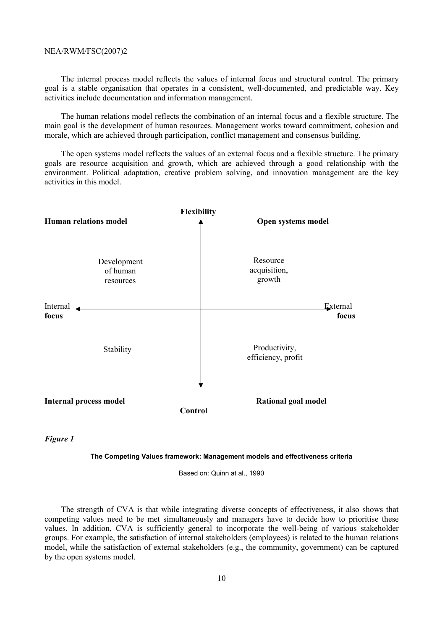The internal process model reflects the values of internal focus and structural control. The primary goal is a stable organisation that operates in a consistent, well-documented, and predictable way. Key activities include documentation and information management.

The human relations model reflects the combination of an internal focus and a flexible structure. The main goal is the development of human resources. Management works toward commitment, cohesion and morale, which are achieved through participation, conflict management and consensus building.

The open systems model reflects the values of an external focus and a flexible structure. The primary goals are resource acquisition and growth, which are achieved through a good relationship with the environment. Political adaptation, creative problem solving, and innovation management are the key activities in this model.



*Figure 1* 

#### **The Competing Values framework: Management models and effectiveness criteria**

Based on: Quinn at al., 1990

The strength of CVA is that while integrating diverse concepts of effectiveness, it also shows that competing values need to be met simultaneously and managers have to decide how to prioritise these values. In addition, CVA is sufficiently general to incorporate the well-being of various stakeholder groups. For example, the satisfaction of internal stakeholders (employees) is related to the human relations model, while the satisfaction of external stakeholders (e.g., the community, government) can be captured by the open systems model.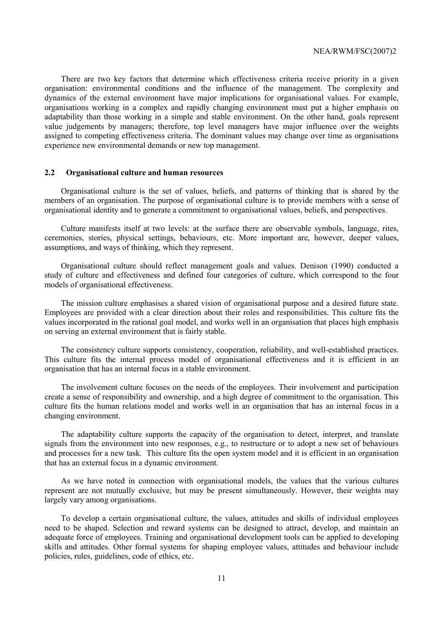There are two key factors that determine which effectiveness criteria receive priority in a given organisation: environmental conditions and the influence of the management. The complexity and dynamics of the external environment have major implications for organisational values. For example, organisations working in a complex and rapidly changing environment must put a higher emphasis on adaptability than those working in a simple and stable environment. On the other hand, goals represent value judgements by managers; therefore, top level managers have major influence over the weights assigned to competing effectiveness criteria. The dominant values may change over time as organisations experience new environmental demands or new top management.

### **2.2 Organisational culture and human resources**

Organisational culture is the set of values, beliefs, and patterns of thinking that is shared by the members of an organisation. The purpose of organisational culture is to provide members with a sense of organisational identity and to generate a commitment to organisational values, beliefs, and perspectives.

Culture manifests itself at two levels: at the surface there are observable symbols, language, rites, ceremonies, stories, physical settings, behaviours, etc. More important are, however, deeper values, assumptions, and ways of thinking, which they represent.

Organisational culture should reflect management goals and values. Denison (1990) conducted a study of culture and effectiveness and defined four categories of culture, which correspond to the four models of organisational effectiveness.

The mission culture emphasises a shared vision of organisational purpose and a desired future state. Employees are provided with a clear direction about their roles and responsibilities. This culture fits the values incorporated in the rational goal model, and works well in an organisation that places high emphasis on serving an external environment that is fairly stable.

The consistency culture supports consistency, cooperation, reliability, and well-established practices. This culture fits the internal process model of organisational effectiveness and it is efficient in an organisation that has an internal focus in a stable environment.

The involvement culture focuses on the needs of the employees. Their involvement and participation create a sense of responsibility and ownership, and a high degree of commitment to the organisation. This culture fits the human relations model and works well in an organisation that has an internal focus in a changing environment.

The adaptability culture supports the capacity of the organisation to detect, interpret, and translate signals from the environment into new responses, e.g., to restructure or to adopt a new set of behaviours and processes for a new task. This culture fits the open system model and it is efficient in an organisation that has an external focus in a dynamic environment.

As we have noted in connection with organisational models, the values that the various cultures represent are not mutually exclusive, but may be present simultaneously. However, their weights may largely vary among organisations.

To develop a certain organisational culture, the values, attitudes and skills of individual employees need to be shaped. Selection and reward systems can be designed to attract, develop, and maintain an adequate force of employees. Training and organisational development tools can be applied to developing skills and attitudes. Other formal systems for shaping employee values, attitudes and behaviour include policies, rules, guidelines, code of ethics, etc.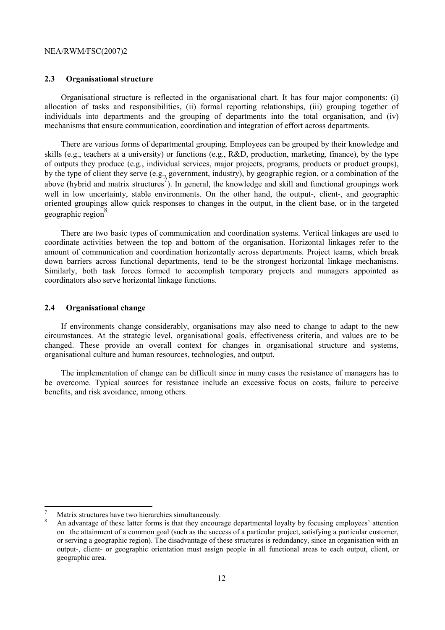### **2.3 Organisational structure**

Organisational structure is reflected in the organisational chart. It has four major components: (i) allocation of tasks and responsibilities, (ii) formal reporting relationships, (iii) grouping together of individuals into departments and the grouping of departments into the total organisation, and (iv) mechanisms that ensure communication, coordination and integration of effort across departments.

There are various forms of departmental grouping. Employees can be grouped by their knowledge and skills (e.g., teachers at a university) or functions (e.g., R&D, production, marketing, finance), by the type of outputs they produce (e.g., individual services, major projects, programs, products or product groups), by the type of client they serve (e.g., government, industry), by geographic region, or a combination of the above (hybrid and matrix structures<sup>7</sup>). In general, the knowledge and skill and functional groupings work well in low uncertainty, stable environments. On the other hand, the output-, client-, and geographic oriented groupings allow quick responses to changes in the output, in the client base, or in the targeted geographic region<sup>8</sup>.

There are two basic types of communication and coordination systems. Vertical linkages are used to coordinate activities between the top and bottom of the organisation. Horizontal linkages refer to the amount of communication and coordination horizontally across departments. Project teams, which break down barriers across functional departments, tend to be the strongest horizontal linkage mechanisms. Similarly, both task forces formed to accomplish temporary projects and managers appointed as coordinators also serve horizontal linkage functions.

### **2.4 Organisational change**

If environments change considerably, organisations may also need to change to adapt to the new circumstances. At the strategic level, organisational goals, effectiveness criteria, and values are to be changed. These provide an overall context for changes in organisational structure and systems, organisational culture and human resources, technologies, and output.

The implementation of change can be difficult since in many cases the resistance of managers has to be overcome. Typical sources for resistance include an excessive focus on costs, failure to perceive benefits, and risk avoidance, among others.

 $\overline{a}$ 

<sup>7</sup> Matrix structures have two hierarchies simultaneously. 8

An advantage of these latter forms is that they encourage departmental loyalty by focusing employees' attention on the attainment of a common goal (such as the success of a particular project, satisfying a particular customer, or serving a geographic region). The disadvantage of these structures is redundancy, since an organisation with an output-, client- or geographic orientation must assign people in all functional areas to each output, client, or geographic area.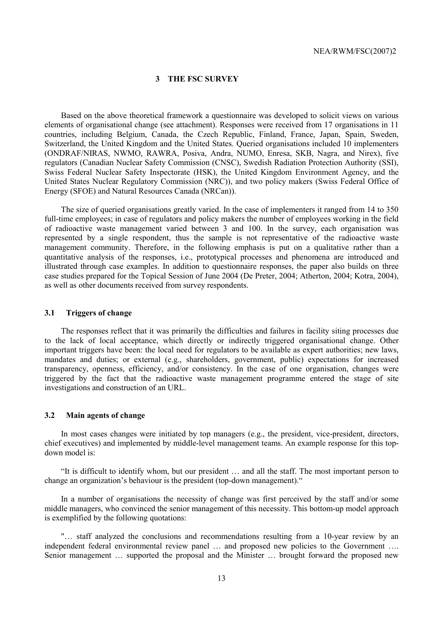### **3 THE FSC SURVEY**

Based on the above theoretical framework a questionnaire was developed to solicit views on various elements of organisational change (see attachment). Responses were received from 17 organisations in 11 countries, including Belgium, Canada, the Czech Republic, Finland, France, Japan, Spain, Sweden, Switzerland, the United Kingdom and the United States. Queried organisations included 10 implementers (ONDRAF/NIRAS, NWMO, RAWRA, Posiva, Andra, NUMO, Enresa, SKB, Nagra, and Nirex), five regulators (Canadian Nuclear Safety Commission (CNSC), Swedish Radiation Protection Authority (SSI), Swiss Federal Nuclear Safety Inspectorate (HSK), the United Kingdom Environment Agency, and the United States Nuclear Regulatory Commission (NRC)), and two policy makers (Swiss Federal Office of Energy (SFOE) and Natural Resources Canada (NRCan)).

The size of queried organisations greatly varied. In the case of implementers it ranged from 14 to 350 full-time employees; in case of regulators and policy makers the number of employees working in the field of radioactive waste management varied between 3 and 100. In the survey, each organisation was represented by a single respondent, thus the sample is not representative of the radioactive waste management community. Therefore, in the following emphasis is put on a qualitative rather than a quantitative analysis of the responses, i.e., prototypical processes and phenomena are introduced and illustrated through case examples. In addition to questionnaire responses, the paper also builds on three case studies prepared for the Topical Session of June 2004 (De Preter, 2004; Atherton, 2004; Kotra, 2004), as well as other documents received from survey respondents.

#### **3.1 Triggers of change**

The responses reflect that it was primarily the difficulties and failures in facility siting processes due to the lack of local acceptance, which directly or indirectly triggered organisational change. Other important triggers have been: the local need for regulators to be available as expert authorities; new laws, mandates and duties; or external (e.g., shareholders, government, public) expectations for increased transparency, openness, efficiency, and/or consistency. In the case of one organisation, changes were triggered by the fact that the radioactive waste management programme entered the stage of site investigations and construction of an URL.

#### **3.2 Main agents of change**

In most cases changes were initiated by top managers (e.g., the president, vice-president, directors, chief executives) and implemented by middle-level management teams. An example response for this topdown model is:

If it is difficult to identify whom, but our president  $\ldots$  and all the staff. The most important person to change an organization's behaviour is the president (top-down management).<sup>14</sup>

In a number of organisations the necessity of change was first perceived by the staff and/or some middle managers, who convinced the senior management of this necessity. This bottom-up model approach is exemplified by the following quotations:

"... staff analyzed the conclusions and recommendations resulting from a 10-year review by an independent federal environmental review panel  $\ldots$  and proposed new policies to the Government  $\ldots$ Senior management ... supported the proposal and the Minister ... brought forward the proposed new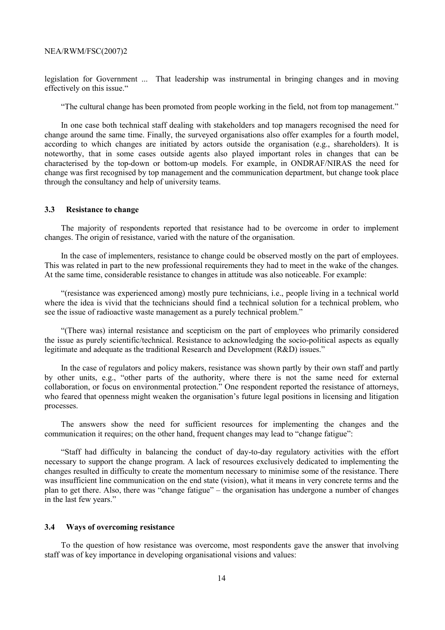legislation for Government ... That leadership was instrumental in bringing changes and in moving effectively on this issue."

ìThe cultural change has been promoted from people working in the field, not from top management.î

In one case both technical staff dealing with stakeholders and top managers recognised the need for change around the same time. Finally, the surveyed organisations also offer examples for a fourth model, according to which changes are initiated by actors outside the organisation (e.g., shareholders). It is noteworthy, that in some cases outside agents also played important roles in changes that can be characterised by the top-down or bottom-up models. For example, in ONDRAF/NIRAS the need for change was first recognised by top management and the communication department, but change took place through the consultancy and help of university teams.

#### **3.3 Resistance to change**

The majority of respondents reported that resistance had to be overcome in order to implement changes. The origin of resistance, varied with the nature of the organisation.

In the case of implementers, resistance to change could be observed mostly on the part of employees. This was related in part to the new professional requirements they had to meet in the wake of the changes. At the same time, considerable resistance to changes in attitude was also noticeable. For example:

ì(resistance was experienced among) mostly pure technicians, i.e., people living in a technical world where the idea is vivid that the technicians should find a technical solution for a technical problem, who see the issue of radioactive waste management as a purely technical problem."

ì(There was) internal resistance and scepticism on the part of employees who primarily considered the issue as purely scientific/technical. Resistance to acknowledging the socio-political aspects as equally legitimate and adequate as the traditional Research and Development  $(R&D)$  issues.<sup>7</sup>

In the case of regulators and policy makers, resistance was shown partly by their own staff and partly by other units, e.g., "other parts of the authority, where there is not the same need for external collaboration, or focus on environmental protection." One respondent reported the resistance of attorneys, who feared that openness might weaken the organisation's future legal positions in licensing and litigation processes.

The answers show the need for sufficient resources for implementing the changes and the communication it requires; on the other hand, frequent changes may lead to "change fatigue":

ìStaff had difficulty in balancing the conduct of day-to-day regulatory activities with the effort necessary to support the change program. A lack of resources exclusively dedicated to implementing the changes resulted in difficulty to create the momentum necessary to minimise some of the resistance. There was insufficient line communication on the end state (vision), what it means in very concrete terms and the plan to get there. Also, there was "change fatigue" – the organisation has undergone a number of changes in the last few years."

#### **3.4 Ways of overcoming resistance**

To the question of how resistance was overcome, most respondents gave the answer that involving staff was of key importance in developing organisational visions and values: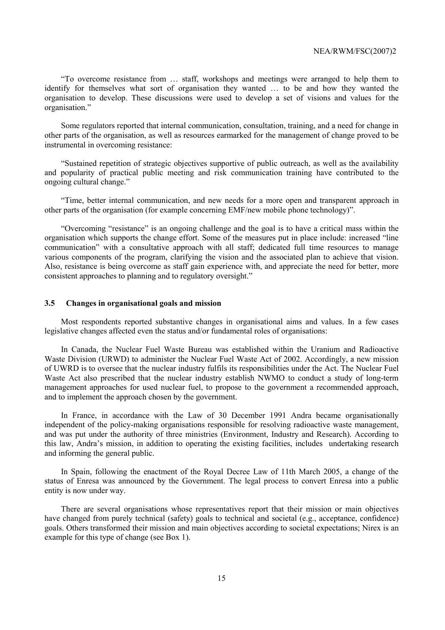ìTo overcome resistance from Ö staff, workshops and meetings were arranged to help them to identify for themselves what sort of organisation they wanted ... to be and how they wanted the organisation to develop. These discussions were used to develop a set of visions and values for the organisation."

Some regulators reported that internal communication, consultation, training, and a need for change in other parts of the organisation, as well as resources earmarked for the management of change proved to be instrumental in overcoming resistance:

ìSustained repetition of strategic objectives supportive of public outreach, as well as the availability and popularity of practical public meeting and risk communication training have contributed to the ongoing cultural change."

ìTime, better internal communication, and new needs for a more open and transparent approach in other parts of the organisation (for example concerning EMF/new mobile phone technology)î.

"Overcoming "resistance" is an ongoing challenge and the goal is to have a critical mass within the organisation which supports the change effort. Some of the measures put in place include: increased "line" communication" with a consultative approach with all staff; dedicated full time resources to manage various components of the program, clarifying the vision and the associated plan to achieve that vision. Also, resistance is being overcome as staff gain experience with, and appreciate the need for better, more consistent approaches to planning and to regulatory oversight.<sup>"</sup>

### **3.5 Changes in organisational goals and mission**

Most respondents reported substantive changes in organisational aims and values. In a few cases legislative changes affected even the status and/or fundamental roles of organisations:

In Canada, the Nuclear Fuel Waste Bureau was established within the Uranium and Radioactive Waste Division (URWD) to administer the Nuclear Fuel Waste Act of 2002. Accordingly, a new mission of UWRD is to oversee that the nuclear industry fulfils its responsibilities under the Act. The Nuclear Fuel Waste Act also prescribed that the nuclear industry establish NWMO to conduct a study of long-term management approaches for used nuclear fuel, to propose to the government a recommended approach, and to implement the approach chosen by the government.

In France, in accordance with the Law of 30 December 1991 Andra became organisationally independent of the policy-making organisations responsible for resolving radioactive waste management, and was put under the authority of three ministries (Environment, Industry and Research). According to this law, Andraís mission, in addition to operating the existing facilities, includes undertaking research and informing the general public.

In Spain, following the enactment of the Royal Decree Law of 11th March 2005, a change of the status of Enresa was announced by the Government. The legal process to convert Enresa into a public entity is now under way.

There are several organisations whose representatives report that their mission or main objectives have changed from purely technical (safety) goals to technical and societal (e.g., acceptance, confidence) goals. Others transformed their mission and main objectives according to societal expectations; Nirex is an example for this type of change (see Box 1).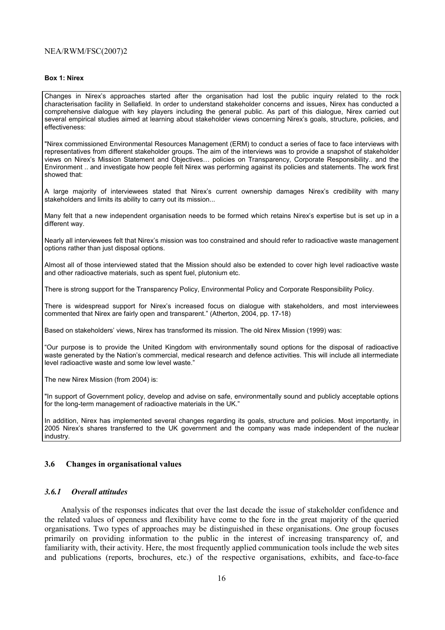#### **Box 1: Nirex**

Changes in Nirexís approaches started after the organisation had lost the public inquiry related to the rock characterisation facility in Sellafield. In order to understand stakeholder concerns and issues, Nirex has conducted a comprehensive dialogue with key players including the general public. As part of this dialogue, Nirex carried out several empirical studies aimed at learning about stakeholder views concerning Nirex's goals, structure, policies, and effectiveness:

"Nirex commissioned Environmental Resources Management (ERM) to conduct a series of face to face interviews with representatives from different stakeholder groups. The aim of the interviews was to provide a snapshot of stakeholder views on Nirex's Mission Statement and Objectives... policies on Transparency, Corporate Responsibility.. and the Environment .. and investigate how people felt Nirex was performing against its policies and statements. The work first showed that:

A large majority of interviewees stated that Nirexís current ownership damages Nirexís credibility with many stakeholders and limits its ability to carry out its mission...

Many felt that a new independent organisation needs to be formed which retains Nirexís expertise but is set up in a different way.

Nearly all interviewees felt that Nirex's mission was too constrained and should refer to radioactive waste management options rather than just disposal options.

Almost all of those interviewed stated that the Mission should also be extended to cover high level radioactive waste and other radioactive materials, such as spent fuel, plutonium etc.

There is strong support for the Transparency Policy, Environmental Policy and Corporate Responsibility Policy.

There is widespread support for Nirexís increased focus on dialogue with stakeholders, and most interviewees commented that Nirex are fairly open and transparent." (Atherton, 2004, pp. 17-18)

Based on stakeholders' views, Nirex has transformed its mission. The old Nirex Mission (1999) was:

ìOur purpose is to provide the United Kingdom with environmentally sound options for the disposal of radioactive waste generated by the Nationís commercial, medical research and defence activities. This will include all intermediate level radioactive waste and some low level waste."

The new Nirex Mission (from 2004) is:

"In support of Government policy, develop and advise on safe, environmentally sound and publicly acceptable options for the long-term management of radioactive materials in the UK."

In addition, Nirex has implemented several changes regarding its goals, structure and policies. Most importantly, in 2005 Nirexís shares transferred to the UK government and the company was made independent of the nuclear industry.

### **3.6 Changes in organisational values**

#### *3.6.1 Overall attitudes*

Analysis of the responses indicates that over the last decade the issue of stakeholder confidence and the related values of openness and flexibility have come to the fore in the great majority of the queried organisations. Two types of approaches may be distinguished in these organisations. One group focuses primarily on providing information to the public in the interest of increasing transparency of, and familiarity with, their activity. Here, the most frequently applied communication tools include the web sites and publications (reports, brochures, etc.) of the respective organisations, exhibits, and face-to-face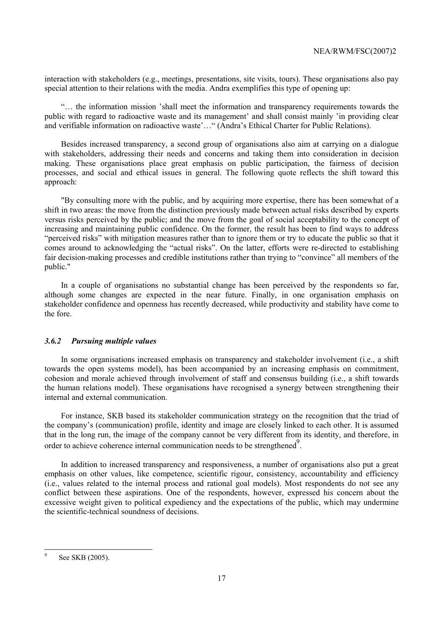interaction with stakeholders (e.g., meetings, presentations, site visits, tours). These organisations also pay special attention to their relations with the media. Andra exemplifies this type of opening up:

ìÖ the information mission íshall meet the information and transparency requirements towards the public with regard to radioactive waste and its management' and shall consist mainly 'in providing clear and verifiable information on radioactive waste'..." (Andra's Ethical Charter for Public Relations).

Besides increased transparency, a second group of organisations also aim at carrying on a dialogue with stakeholders, addressing their needs and concerns and taking them into consideration in decision making. These organisations place great emphasis on public participation, the fairness of decision processes, and social and ethical issues in general. The following quote reflects the shift toward this approach:

"By consulting more with the public, and by acquiring more expertise, there has been somewhat of a shift in two areas: the move from the distinction previously made between actual risks described by experts versus risks perceived by the public; and the move from the goal of social acceptability to the concept of increasing and maintaining public confidence. On the former, the result has been to find ways to address ìperceived risksî with mitigation measures rather than to ignore them or try to educate the public so that it comes around to acknowledging the "actual risks". On the latter, efforts were re-directed to establishing fair decision-making processes and credible institutions rather than trying to "convince" all members of the public."

In a couple of organisations no substantial change has been perceived by the respondents so far, although some changes are expected in the near future. Finally, in one organisation emphasis on stakeholder confidence and openness has recently decreased, while productivity and stability have come to the fore.

### *3.6.2 Pursuing multiple values*

In some organisations increased emphasis on transparency and stakeholder involvement (i.e., a shift towards the open systems model), has been accompanied by an increasing emphasis on commitment, cohesion and morale achieved through involvement of staff and consensus building (i.e., a shift towards the human relations model). These organisations have recognised a synergy between strengthening their internal and external communication.

For instance, SKB based its stakeholder communication strategy on the recognition that the triad of the company's (communication) profile, identity and image are closely linked to each other. It is assumed that in the long run, the image of the company cannot be very different from its identity, and therefore, in order to achieve coherence internal communication needs to be strengthened<sup>9</sup>.

In addition to increased transparency and responsiveness, a number of organisations also put a great emphasis on other values, like competence, scientific rigour, consistency, accountability and efficiency (i.e., values related to the internal process and rational goal models). Most respondents do not see any conflict between these aspirations. One of the respondents, however, expressed his concern about the excessive weight given to political expediency and the expectations of the public, which may undermine the scientific-technical soundness of decisions.

<sup>-&</sup>lt;br>9 See SKB (2005).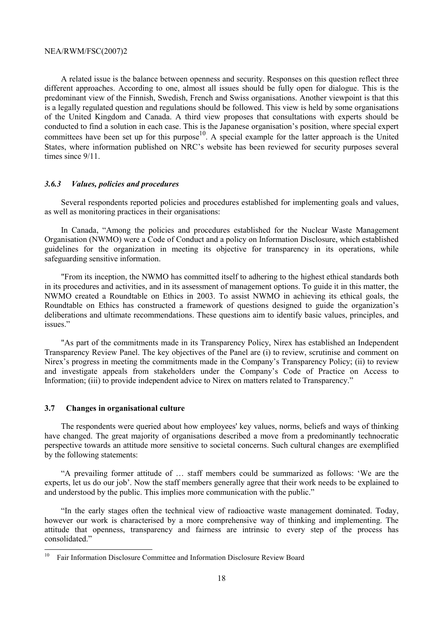A related issue is the balance between openness and security. Responses on this question reflect three different approaches. According to one, almost all issues should be fully open for dialogue. This is the predominant view of the Finnish, Swedish, French and Swiss organisations. Another viewpoint is that this is a legally regulated question and regulations should be followed. This view is held by some organisations of the United Kingdom and Canada. A third view proposes that consultations with experts should be conducted to find a solution in each case. This is the Japanese organisation's position, where special expert committees have been set up for this purpose<sup>10</sup>. A special example for the latter approach is the United States, where information published on NRC's website has been reviewed for security purposes several times since  $9/11$ .

#### *3.6.3 Values, policies and procedures*

Several respondents reported policies and procedures established for implementing goals and values, as well as monitoring practices in their organisations:

In Canada, "Among the policies and procedures established for the Nuclear Waste Management Organisation (NWMO) were a Code of Conduct and a policy on Information Disclosure, which established guidelines for the organization in meeting its objective for transparency in its operations, while safeguarding sensitive information.

"From its inception, the NWMO has committed itself to adhering to the highest ethical standards both in its procedures and activities, and in its assessment of management options. To guide it in this matter, the NWMO created a Roundtable on Ethics in 2003. To assist NWMO in achieving its ethical goals, the Roundtable on Ethics has constructed a framework of questions designed to guide the organization's deliberations and ultimate recommendations. These questions aim to identify basic values, principles, and issues."

"As part of the commitments made in its Transparency Policy, Nirex has established an Independent Transparency Review Panel. The key objectives of the Panel are (i) to review, scrutinise and comment on Nirex's progress in meeting the commitments made in the Company's Transparency Policy; (ii) to review and investigate appeals from stakeholders under the Company's Code of Practice on Access to Information; (iii) to provide independent advice to Nirex on matters related to Transparency."

#### **3.7 Changes in organisational culture**

The respondents were queried about how employees' key values, norms, beliefs and ways of thinking have changed. The great majority of organisations described a move from a predominantly technocratic perspective towards an attitude more sensitive to societal concerns. Such cultural changes are exemplified by the following statements:

"A prevailing former attitude of ... staff members could be summarized as follows: 'We are the experts, let us do our job'. Now the staff members generally agree that their work needs to be explained to and understood by the public. This implies more communication with the public."

ìIn the early stages often the technical view of radioactive waste management dominated. Today, however our work is characterised by a more comprehensive way of thinking and implementing. The attitude that openness, transparency and fairness are intrinsic to every step of the process has consolidated."

 $10<sup>1</sup>$ 10 Fair Information Disclosure Committee and Information Disclosure Review Board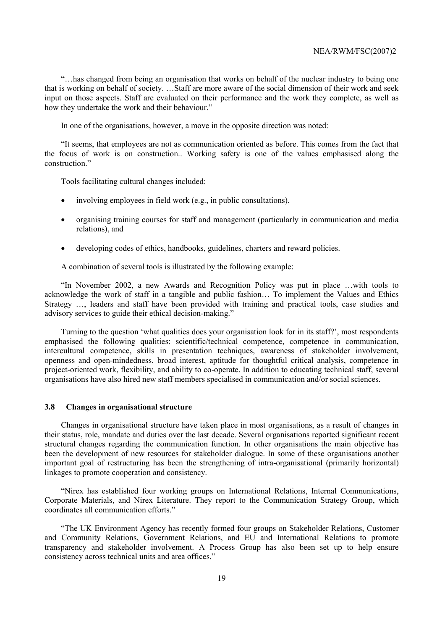ìÖhas changed from being an organisation that works on behalf of the nuclear industry to being one that is working on behalf of society.  $\Box$  Staff are more aware of the social dimension of their work and seek input on those aspects. Staff are evaluated on their performance and the work they complete, as well as how they undertake the work and their behaviour."

In one of the organisations, however, a move in the opposite direction was noted:

ìIt seems, that employees are not as communication oriented as before. This comes from the fact that the focus of work is on construction.. Working safety is one of the values emphasised along the construction."

Tools facilitating cultural changes included:

- involving employees in field work (e.g., in public consultations),
- organising training courses for staff and management (particularly in communication and media relations), and
- developing codes of ethics, handbooks, guidelines, charters and reward policies.

A combination of several tools is illustrated by the following example:

 $\lq$ In November 2002, a new Awards and Recognition Policy was put in place  $\ldots$  with tools to acknowledge the work of staff in a tangible and public fashion... To implement the Values and Ethics Strategy  $\ldots$ , leaders and staff have been provided with training and practical tools, case studies and advisory services to guide their ethical decision-making."

Turning to the question 'what qualities does your organisation look for in its staff?', most respondents emphasised the following qualities: scientific/technical competence, competence in communication, intercultural competence, skills in presentation techniques, awareness of stakeholder involvement, openness and open-mindedness, broad interest, aptitude for thoughtful critical analysis, competence in project-oriented work, flexibility, and ability to co-operate. In addition to educating technical staff, several organisations have also hired new staff members specialised in communication and/or social sciences.

### **3.8 Changes in organisational structure**

Changes in organisational structure have taken place in most organisations, as a result of changes in their status, role, mandate and duties over the last decade. Several organisations reported significant recent structural changes regarding the communication function. In other organisations the main objective has been the development of new resources for stakeholder dialogue. In some of these organisations another important goal of restructuring has been the strengthening of intra-organisational (primarily horizontal) linkages to promote cooperation and consistency.

ìNirex has established four working groups on International Relations, Internal Communications, Corporate Materials, and Nirex Literature. They report to the Communication Strategy Group, which coordinates all communication efforts."

ìThe UK Environment Agency has recently formed four groups on Stakeholder Relations, Customer and Community Relations, Government Relations, and EU and International Relations to promote transparency and stakeholder involvement. A Process Group has also been set up to help ensure consistency across technical units and area offices."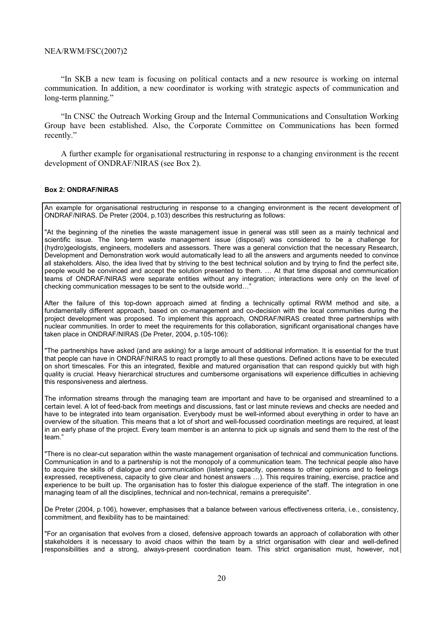"In SKB a new team is focusing on political contacts and a new resource is working on internal communication. In addition, a new coordinator is working with strategic aspects of communication and long-term planning."

**IIIN CNSC the Outreach Working Group and the Internal Communications and Consultation Working** Group have been established. Also, the Corporate Committee on Communications has been formed recently."

A further example for organisational restructuring in response to a changing environment is the recent development of ONDRAF/NIRAS (see Box 2).

#### **Box 2: ONDRAF/NIRAS**

An example for organisational restructuring in response to a changing environment is the recent development of ONDRAF/NIRAS. De Preter (2004, p.103) describes this restructuring as follows:

"At the beginning of the nineties the waste management issue in general was still seen as a mainly technical and scientific issue. The long-term waste management issue (disposal) was considered to be a challenge for (hydro)geologists, engineers, modellers and assessors. There was a general conviction that the necessary Research, Development and Demonstration work would automatically lead to all the answers and arguments needed to convince all stakeholders. Also, the idea lived that by striving to the best technical solution and by trying to find the perfect site, people would be convinced and accept the solution presented to them. ... At that time disposal and communication teams of ONDRAF/NIRAS were separate entities without any integration; interactions were only on the level of checking communication messages to be sent to the outside world..."

After the failure of this top-down approach aimed at finding a technically optimal RWM method and site, a fundamentally different approach, based on co-management and co-decision with the local communities during the project development was proposed. To implement this approach, ONDRAF/NIRAS created three partnerships with nuclear communities. In order to meet the requirements for this collaboration, significant organisational changes have taken place in ONDRAF/NIRAS (De Preter, 2004, p.105-106):

"The partnerships have asked (and are asking) for a large amount of additional information. It is essential for the trust that people can have in ONDRAF/NIRAS to react promptly to all these questions. Defined actions have to be executed on short timescales. For this an integrated, flexible and matured organisation that can respond quickly but with high quality is crucial. Heavy hierarchical structures and cumbersome organisations will experience difficulties in achieving this responsiveness and alertness.

The information streams through the managing team are important and have to be organised and streamlined to a certain level. A lot of feed-back from meetings and discussions, fast or last minute reviews and checks are needed and have to be integrated into team organisation. Everybody must be well-informed about everything in order to have an overview of the situation. This means that a lot of short and well-focussed coordination meetings are required, at least in an early phase of the project. Every team member is an antenna to pick up signals and send them to the rest of the team."

"There is no clear-cut separation within the waste management organisation of technical and communication functions. Communication in and to a partnership is not the monopoly of a communication team. The technical people also have to acquire the skills of dialogue and communication (listening capacity, openness to other opinions and to feelings expressed, receptiveness, capacity to give clear and honest answers ...). This requires training, exercise, practice and experience to be built up. The organisation has to foster this dialogue experience of the staff. The integration in one managing team of all the disciplines, technical and non-technical, remains a prerequisite".

De Preter (2004, p.106), however, emphasises that a balance between various effectiveness criteria, i.e., consistency, commitment, and flexibility has to be maintained:

"For an organisation that evolves from a closed, defensive approach towards an approach of collaboration with other stakeholders it is necessary to avoid chaos within the team by a strict organisation with clear and well-defined responsibilities and a strong, always-present coordination team. This strict organisation must, however, not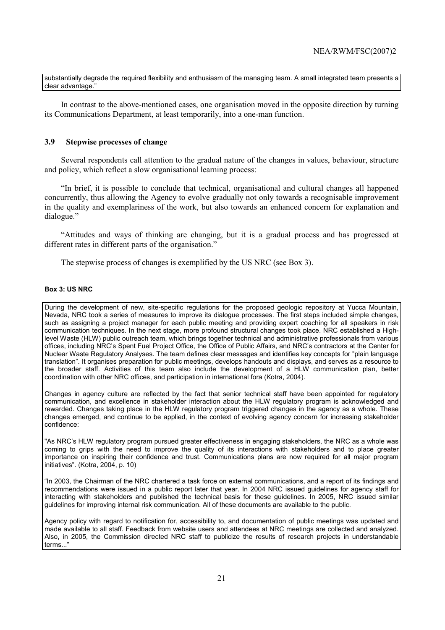substantially degrade the required flexibility and enthusiasm of the managing team. A small integrated team presents a clear advantage.

In contrast to the above-mentioned cases, one organisation moved in the opposite direction by turning its Communications Department, at least temporarily, into a one-man function.

### **3.9 Stepwise processes of change**

Several respondents call attention to the gradual nature of the changes in values, behaviour, structure and policy, which reflect a slow organisational learning process:

"In brief, it is possible to conclude that technical, organisational and cultural changes all happened concurrently, thus allowing the Agency to evolve gradually not only towards a recognisable improvement in the quality and exemplariness of the work, but also towards an enhanced concern for explanation and dialogue."

ìAttitudes and ways of thinking are changing, but it is a gradual process and has progressed at different rates in different parts of the organisation.<sup>"</sup>

The stepwise process of changes is exemplified by the US NRC (see Box 3).

### **Box 3: US NRC**

During the development of new, site-specific regulations for the proposed geologic repository at Yucca Mountain, Nevada, NRC took a series of measures to improve its dialogue processes. The first steps included simple changes, such as assigning a project manager for each public meeting and providing expert coaching for all speakers in risk communication techniques. In the next stage, more profound structural changes took place. NRC established a Highlevel Waste (HLW) public outreach team, which brings together technical and administrative professionals from various offices, including NRC's Spent Fuel Project Office, the Office of Public Affairs, and NRC's contractors at the Center for Nuclear Waste Regulatory Analyses. The team defines clear messages and identifies key concepts for "plain language translationî. It organises preparation for public meetings, develops handouts and displays, and serves as a resource to the broader staff. Activities of this team also include the development of a HLW communication plan, better coordination with other NRC offices, and participation in international fora (Kotra, 2004).

Changes in agency culture are reflected by the fact that senior technical staff have been appointed for regulatory communication, and excellence in stakeholder interaction about the HLW regulatory program is acknowledged and rewarded. Changes taking place in the HLW regulatory program triggered changes in the agency as a whole. These changes emerged, and continue to be applied, in the context of evolving agency concern for increasing stakeholder confidence:

"As NRC's HLW regulatory program pursued greater effectiveness in engaging stakeholders, the NRC as a whole was coming to grips with the need to improve the quality of its interactions with stakeholders and to place greater importance on inspiring their confidence and trust. Communications plans are now required for all major program initiatives". (Kotra, 2004, p. 10)

"In 2003, the Chairman of the NRC chartered a task force on external communications, and a report of its findings and recommendations were issued in a public report later that year. In 2004 NRC issued guidelines for agency staff for interacting with stakeholders and published the technical basis for these guidelines. In 2005, NRC issued similar guidelines for improving internal risk communication. All of these documents are available to the public.

Agency policy with regard to notification for, accessibility to, and documentation of public meetings was updated and made available to all staff. Feedback from website users and attendees at NRC meetings are collected and analyzed. Also, in 2005, the Commission directed NRC staff to publicize the results of research projects in understandable terms..."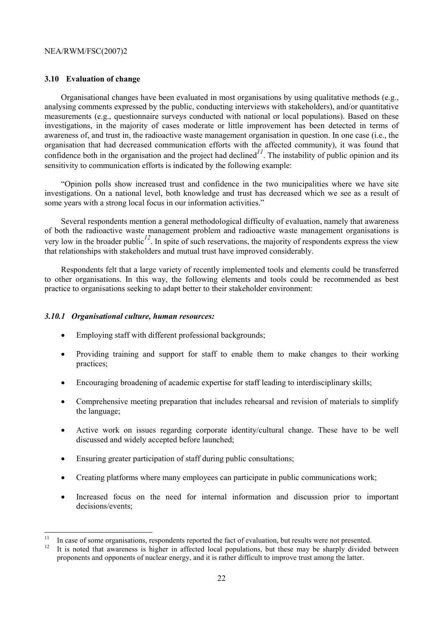### **3.10 Evaluation of change**

Organisational changes have been evaluated in most organisations by using qualitative methods (e.g., analysing comments expressed by the public, conducting interviews with stakeholders), and/or quantitative measurements (e.g., questionnaire surveys conducted with national or local populations). Based on these investigations, in the majority of cases moderate or little improvement has been detected in terms of awareness of, and trust in, the radioactive waste management organisation in question. In one case (i.e., the organisation that had decreased communication efforts with the affected community), it was found that confidence both in the organisation and the project had declined<sup> $11$ </sup>. The instability of public opinion and its sensitivity to communication efforts is indicated by the following example:

ìOpinion polls show increased trust and confidence in the two municipalities where we have site investigations. On a national level, both knowledge and trust has decreased which we see as a result of some years with a strong local focus in our information activities."

Several respondents mention a general methodological difficulty of evaluation, namely that awareness of both the radioactive waste management problem and radioactive waste management organisations is very low in the broader public*12*. In spite of such reservations, the majority of respondents express the view that relationships with stakeholders and mutual trust have improved considerably.

Respondents felt that a large variety of recently implemented tools and elements could be transferred to other organisations. In this way, the following elements and tools could be recommended as best practice to organisations seeking to adapt better to their stakeholder environment:

#### *3.10.1 Organisational culture, human resources:*

- Employing staff with different professional backgrounds;
- Providing training and support for staff to enable them to make changes to their working practices;
- Encouraging broadening of academic expertise for staff leading to interdisciplinary skills;
- Comprehensive meeting preparation that includes rehearsal and revision of materials to simplify the language;
- Active work on issues regarding corporate identity/cultural change. These have to be well discussed and widely accepted before launched;
- Ensuring greater participation of staff during public consultations:
- Creating platforms where many employees can participate in public communications work;
- Increased focus on the need for internal information and discussion prior to important decisions/events;

 $11$ <sup>11</sup> In case of some organisations, respondents reported the fact of evaluation, but results were not presented.<br><sup>12</sup> It is noted that suggesses is higher in offerted lacel nagulations, but these gase he showly divided.

<sup>12</sup> It is noted that awareness is higher in affected local populations, but these may be sharply divided between proponents and opponents of nuclear energy, and it is rather difficult to improve trust among the latter.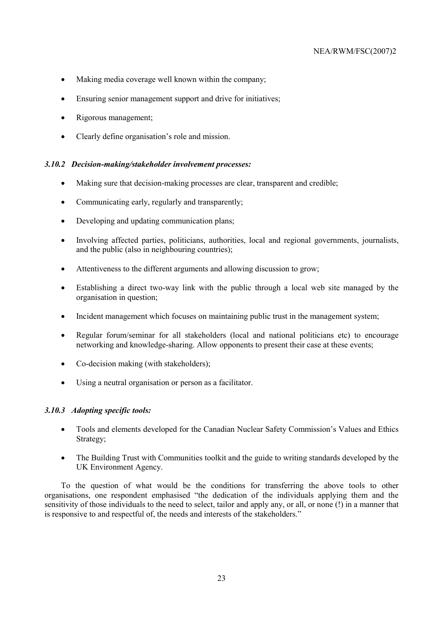- Making media coverage well known within the company;
- Ensuring senior management support and drive for initiatives;
- Rigorous management;
- Clearly define organisation's role and mission.

### *3.10.2 Decision-making/stakeholder involvement processes:*

- Making sure that decision-making processes are clear, transparent and credible;
- Communicating early, regularly and transparently;
- Developing and updating communication plans;
- Involving affected parties, politicians, authorities, local and regional governments, journalists, and the public (also in neighbouring countries);
- Attentiveness to the different arguments and allowing discussion to grow;
- Establishing a direct two-way link with the public through a local web site managed by the organisation in question;
- Incident management which focuses on maintaining public trust in the management system;
- Regular forum/seminar for all stakeholders (local and national politicians etc) to encourage networking and knowledge-sharing. Allow opponents to present their case at these events;
- Co-decision making (with stakeholders);
- Using a neutral organisation or person as a facilitator.

### *3.10.3 Adopting specific tools:*

- Tools and elements developed for the Canadian Nuclear Safety Commission's Values and Ethics Strategy;
- The Building Trust with Communities toolkit and the guide to writing standards developed by the UK Environment Agency.

To the question of what would be the conditions for transferring the above tools to other organisations, one respondent emphasised "the dedication of the individuals applying them and the sensitivity of those individuals to the need to select, tailor and apply any, or all, or none (!) in a manner that is responsive to and respectful of, the needs and interests of the stakeholders.<sup>"</sup>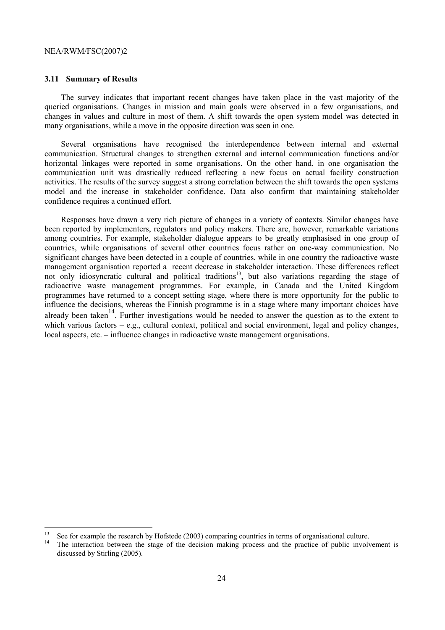#### **3.11 Summary of Results**

 $\overline{a}$ 

The survey indicates that important recent changes have taken place in the vast majority of the queried organisations. Changes in mission and main goals were observed in a few organisations, and changes in values and culture in most of them. A shift towards the open system model was detected in many organisations, while a move in the opposite direction was seen in one.

Several organisations have recognised the interdependence between internal and external communication. Structural changes to strengthen external and internal communication functions and/or horizontal linkages were reported in some organisations. On the other hand, in one organisation the communication unit was drastically reduced reflecting a new focus on actual facility construction activities. The results of the survey suggest a strong correlation between the shift towards the open systems model and the increase in stakeholder confidence. Data also confirm that maintaining stakeholder confidence requires a continued effort.

Responses have drawn a very rich picture of changes in a variety of contexts. Similar changes have been reported by implementers, regulators and policy makers. There are, however, remarkable variations among countries. For example, stakeholder dialogue appears to be greatly emphasised in one group of countries, while organisations of several other countries focus rather on one-way communication. No significant changes have been detected in a couple of countries, while in one country the radioactive waste management organisation reported a recent decrease in stakeholder interaction. These differences reflect not only idiosyncratic cultural and political traditions<sup>13</sup>, but also variations regarding the stage of radioactive waste management programmes. For example, in Canada and the United Kingdom programmes have returned to a concept setting stage, where there is more opportunity for the public to influence the decisions, whereas the Finnish programme is in a stage where many important choices have already been taken<sup>14</sup>. Further investigations would be needed to answer the question as to the extent to which various factors  $-e.g.,$  cultural context, political and social environment, legal and policy changes, local aspects, etc. – influence changes in radioactive waste management organisations.

See for example the research by Hofstede (2003) comparing countries in terms of organisational culture.

The interaction between the stage of the decision making process and the practice of public involvement is discussed by Stirling (2005).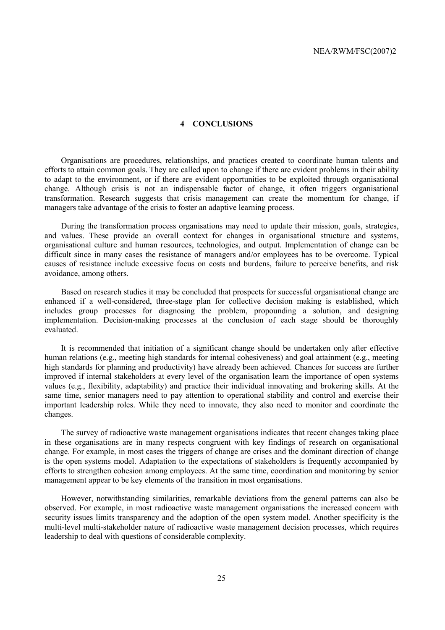### **4 CONCLUSIONS**

Organisations are procedures, relationships, and practices created to coordinate human talents and efforts to attain common goals. They are called upon to change if there are evident problems in their ability to adapt to the environment, or if there are evident opportunities to be exploited through organisational change. Although crisis is not an indispensable factor of change, it often triggers organisational transformation. Research suggests that crisis management can create the momentum for change, if managers take advantage of the crisis to foster an adaptive learning process.

During the transformation process organisations may need to update their mission, goals, strategies, and values. These provide an overall context for changes in organisational structure and systems, organisational culture and human resources, technologies, and output. Implementation of change can be difficult since in many cases the resistance of managers and/or employees has to be overcome. Typical causes of resistance include excessive focus on costs and burdens, failure to perceive benefits, and risk avoidance, among others.

Based on research studies it may be concluded that prospects for successful organisational change are enhanced if a well-considered, three-stage plan for collective decision making is established, which includes group processes for diagnosing the problem, propounding a solution, and designing implementation. Decision-making processes at the conclusion of each stage should be thoroughly evaluated.

It is recommended that initiation of a significant change should be undertaken only after effective human relations (e.g., meeting high standards for internal cohesiveness) and goal attainment (e.g., meeting high standards for planning and productivity) have already been achieved. Chances for success are further improved if internal stakeholders at every level of the organisation learn the importance of open systems values (e.g., flexibility, adaptability) and practice their individual innovating and brokering skills. At the same time, senior managers need to pay attention to operational stability and control and exercise their important leadership roles. While they need to innovate, they also need to monitor and coordinate the changes.

The survey of radioactive waste management organisations indicates that recent changes taking place in these organisations are in many respects congruent with key findings of research on organisational change. For example, in most cases the triggers of change are crises and the dominant direction of change is the open systems model. Adaptation to the expectations of stakeholders is frequently accompanied by efforts to strengthen cohesion among employees. At the same time, coordination and monitoring by senior management appear to be key elements of the transition in most organisations.

However, notwithstanding similarities, remarkable deviations from the general patterns can also be observed. For example, in most radioactive waste management organisations the increased concern with security issues limits transparency and the adoption of the open system model. Another specificity is the multi-level multi-stakeholder nature of radioactive waste management decision processes, which requires leadership to deal with questions of considerable complexity.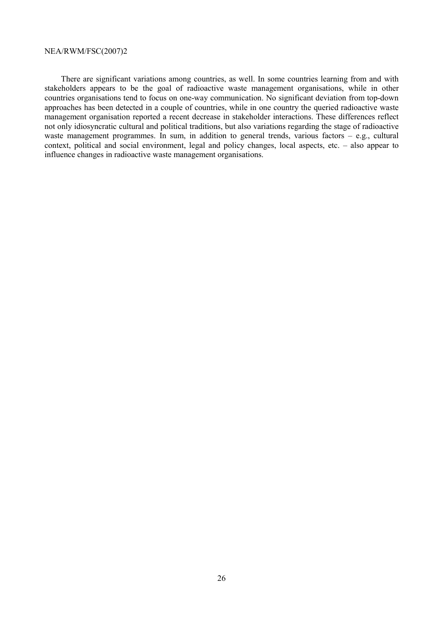There are significant variations among countries, as well. In some countries learning from and with stakeholders appears to be the goal of radioactive waste management organisations, while in other countries organisations tend to focus on one-way communication. No significant deviation from top-down approaches has been detected in a couple of countries, while in one country the queried radioactive waste management organisation reported a recent decrease in stakeholder interactions. These differences reflect not only idiosyncratic cultural and political traditions, but also variations regarding the stage of radioactive waste management programmes. In sum, in addition to general trends, various factors  $-$  e.g., cultural context, political and social environment, legal and policy changes, local aspects, etc.  $-$  also appear to influence changes in radioactive waste management organisations.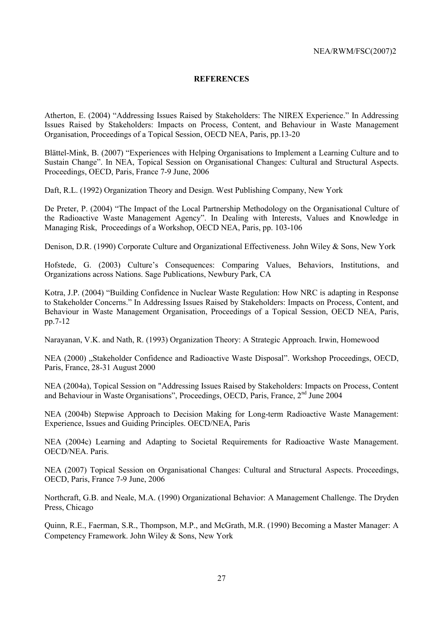### **REFERENCES**

Atherton, E. (2004) "Addressing Issues Raised by Stakeholders: The NIREX Experience." In Addressing Issues Raised by Stakeholders: Impacts on Process, Content, and Behaviour in Waste Management Organisation, Proceedings of a Topical Session, OECD NEA, Paris, pp.13-20

Blättel-Mink, B. (2007) "Experiences with Helping Organisations to Implement a Learning Culture and to Sustain Changeî. In NEA, Topical Session on Organisational Changes: Cultural and Structural Aspects. Proceedings, OECD, Paris, France 7-9 June, 2006

Daft, R.L. (1992) Organization Theory and Design. West Publishing Company, New York

De Preter, P. (2004) "The Impact of the Local Partnership Methodology on the Organisational Culture of the Radioactive Waste Management Agency". In Dealing with Interests, Values and Knowledge in Managing Risk, Proceedings of a Workshop, OECD NEA, Paris, pp. 103-106

Denison, D.R. (1990) Corporate Culture and Organizational Effectiveness. John Wiley & Sons, New York

Hofstede, G. (2003) Culture's Consequences: Comparing Values, Behaviors, Institutions, and Organizations across Nations. Sage Publications, Newbury Park, CA

Kotra, J.P. (2004) "Building Confidence in Nuclear Waste Regulation: How NRC is adapting in Response to Stakeholder Concerns." In Addressing Issues Raised by Stakeholders: Impacts on Process, Content, and Behaviour in Waste Management Organisation, Proceedings of a Topical Session, OECD NEA, Paris, pp.7-12

Narayanan, V.K. and Nath, R. (1993) Organization Theory: A Strategic Approach. Irwin, Homewood

NEA (2000) "Stakeholder Confidence and Radioactive Waste Disposal". Workshop Proceedings, OECD, Paris, France, 28-31 August 2000

NEA (2004a), Topical Session on "Addressing Issues Raised by Stakeholders: Impacts on Process, Content and Behaviour in Waste Organisations", Proceedings, OECD, Paris, France, 2<sup>nd</sup> June 2004

NEA (2004b) Stepwise Approach to Decision Making for Long-term Radioactive Waste Management: Experience, Issues and Guiding Principles. OECD/NEA, Paris

NEA (2004c) Learning and Adapting to Societal Requirements for Radioactive Waste Management. OECD/NEA. Paris.

NEA (2007) Topical Session on Organisational Changes: Cultural and Structural Aspects. Proceedings, OECD, Paris, France 7-9 June, 2006

Northcraft, G.B. and Neale, M.A. (1990) Organizational Behavior: A Management Challenge. The Dryden Press, Chicago

Quinn, R.E., Faerman, S.R., Thompson, M.P., and McGrath, M.R. (1990) Becoming a Master Manager: A Competency Framework. John Wiley & Sons, New York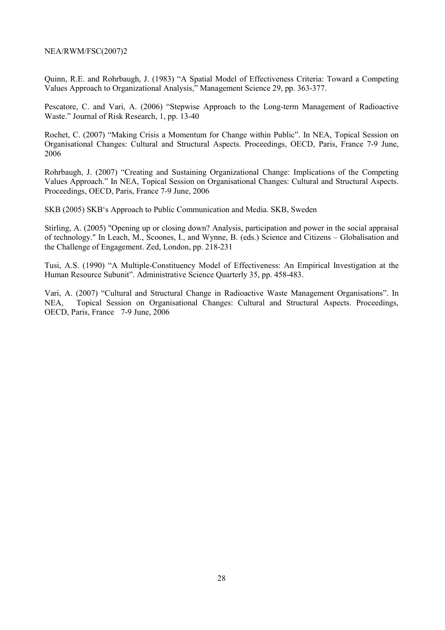Quinn, R.E. and Rohrbaugh, J. (1983) "A Spatial Model of Effectiveness Criteria: Toward a Competing Values Approach to Organizational Analysis," Management Science 29, pp. 363-377.

Pescatore, C. and Vari, A. (2006) "Stepwise Approach to the Long-term Management of Radioactive Waste." Journal of Risk Research, 1, pp. 13-40

Rochet, C. (2007) "Making Crisis a Momentum for Change within Public". In NEA, Topical Session on Organisational Changes: Cultural and Structural Aspects. Proceedings, OECD, Paris, France 7-9 June, 2006

Rohrbaugh, J. (2007) "Creating and Sustaining Organizational Change: Implications of the Competing Values Approach." In NEA, Topical Session on Organisational Changes: Cultural and Structural Aspects. Proceedings, OECD, Paris, France 7-9 June, 2006

SKB (2005) SKBës Approach to Public Communication and Media. SKB, Sweden

Stirling, A. (2005) "Opening up or closing down? Analysis, participation and power in the social appraisal of technology." In Leach, M., Scoones, I., and Wynne, B. (eds.) Science and Citizens – Globalisation and the Challenge of Engagement. Zed, London, pp. 218-231

Tusi, A.S. (1990) "A Multiple-Constituency Model of Effectiveness: An Empirical Investigation at the Human Resource Subunit". Administrative Science Quarterly 35, pp. 458-483.

Vari, A. (2007) "Cultural and Structural Change in Radioactive Waste Management Organisations". In NEA, Topical Session on Organisational Changes: Cultural and Structural Aspects. Proceedings, OECD, Paris, France 7-9 June, 2006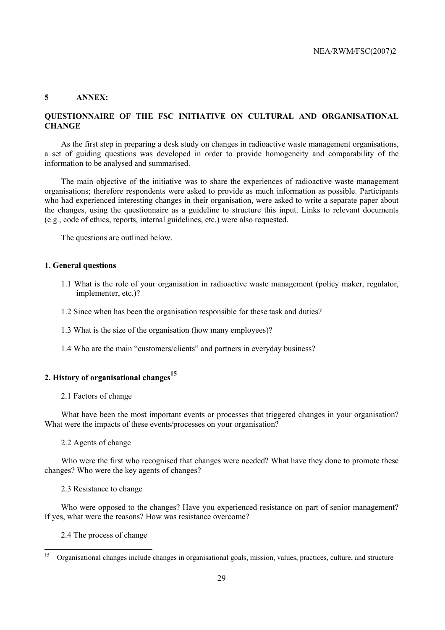### **5 ANNEX:**

### **QUESTIONNAIRE OF THE FSC INITIATIVE ON CULTURAL AND ORGANISATIONAL CHANGE**

As the first step in preparing a desk study on changes in radioactive waste management organisations, a set of guiding questions was developed in order to provide homogeneity and comparability of the information to be analysed and summarised.

The main objective of the initiative was to share the experiences of radioactive waste management organisations; therefore respondents were asked to provide as much information as possible. Participants who had experienced interesting changes in their organisation, were asked to write a separate paper about the changes, using the questionnaire as a guideline to structure this input. Links to relevant documents (e.g., code of ethics, reports, internal guidelines, etc.) were also requested.

The questions are outlined below.

### **1. General questions**

- 1.1 What is the role of your organisation in radioactive waste management (policy maker, regulator, implementer, etc.)?
- 1.2 Since when has been the organisation responsible for these task and duties?
- 1.3 What is the size of the organisation (how many employees)?
- 1.4 Who are the main "customers/clients" and partners in everyday business?

### **2. History of organisational changes15**

2.1 Factors of change

What have been the most important events or processes that triggered changes in your organisation? What were the impacts of these events/processes on your organisation?

#### 2.2 Agents of change

Who were the first who recognised that changes were needed? What have they done to promote these changes? Who were the key agents of changes?

#### 2.3 Resistance to change

Who were opposed to the changes? Have you experienced resistance on part of senior management? If yes, what were the reasons? How was resistance overcome?

### 2.4 The process of change

 $\overline{15}$ 15 Organisational changes include changes in organisational goals, mission, values, practices, culture, and structure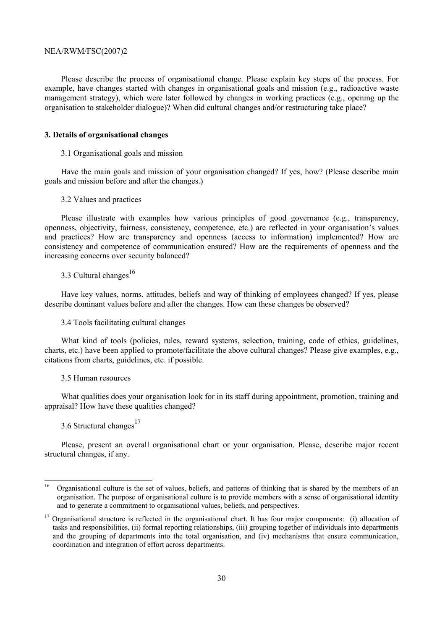Please describe the process of organisational change. Please explain key steps of the process. For example, have changes started with changes in organisational goals and mission (e.g., radioactive waste management strategy), which were later followed by changes in working practices (e.g., opening up the organisation to stakeholder dialogue)? When did cultural changes and/or restructuring take place?

### **3. Details of organisational changes**

#### 3.1 Organisational goals and mission

Have the main goals and mission of your organisation changed? If yes, how? (Please describe main goals and mission before and after the changes.)

#### 3.2 Values and practices

Please illustrate with examples how various principles of good governance (e.g., transparency, openness, objectivity, fairness, consistency, competence, etc.) are reflected in your organisation's values and practices? How are transparency and openness (access to information) implemented? How are consistency and competence of communication ensured? How are the requirements of openness and the increasing concerns over security balanced?

### 3.3 Cultural changes $^{16}$

Have key values, norms, attitudes, beliefs and way of thinking of employees changed? If yes, please describe dominant values before and after the changes. How can these changes be observed?

3.4 Tools facilitating cultural changes

What kind of tools (policies, rules, reward systems, selection, training, code of ethics, guidelines, charts, etc.) have been applied to promote/facilitate the above cultural changes? Please give examples, e.g., citations from charts, guidelines, etc. if possible.

3.5 Human resources

What qualities does your organisation look for in its staff during appointment, promotion, training and appraisal? How have these qualities changed?

3.6 Structural changes $17$ 

Please, present an overall organisational chart or your organisation. Please, describe major recent structural changes, if any.

 $16\,$ 16 Organisational culture is the set of values, beliefs, and patterns of thinking that is shared by the members of an organisation. The purpose of organisational culture is to provide members with a sense of organisational identity and to generate a commitment to organisational values, beliefs, and perspectives.

 $17$  Organisational structure is reflected in the organisational chart. It has four major components: (i) allocation of tasks and responsibilities, (ii) formal reporting relationships, (iii) grouping together of individuals into departments and the grouping of departments into the total organisation, and (iv) mechanisms that ensure communication, coordination and integration of effort across departments.